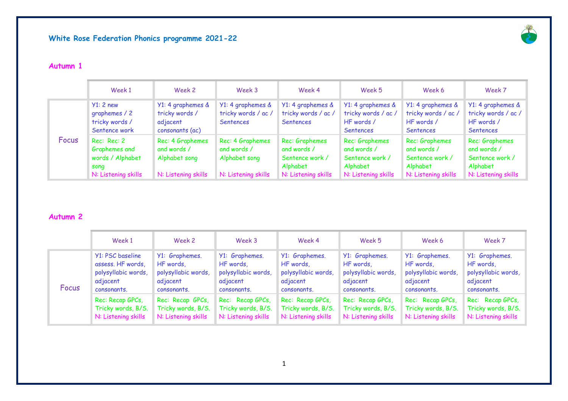

## **Autumn 1**

|       | Week 1                                                                          | Week 2                                                                  | Week 3                                                                  | Week 4                                                                              | Week 5                                                                              | Week 6                                                                              | Week 7                                                                              |
|-------|---------------------------------------------------------------------------------|-------------------------------------------------------------------------|-------------------------------------------------------------------------|-------------------------------------------------------------------------------------|-------------------------------------------------------------------------------------|-------------------------------------------------------------------------------------|-------------------------------------------------------------------------------------|
| Focus | $Y1:2$ new<br>graphemes / 2<br>tricky words /<br>Sentence work                  | Y1: 4 graphemes &<br>tricky words /<br>adjacent<br>consonants (ac)      | Y1: 4 graphemes &<br>tricky words / ac /<br>Sentences                   | Y1: 4 graphemes &<br>tricky words / ac /<br>Sentences                               | Y1: 4 graphemes &<br>tricky words / ac /<br>HF words /<br><b>Sentences</b>          | Y1: 4 graphemes &<br>tricky words / ac /<br>HF words /<br>Sentences                 | Y1: 4 graphemes &<br>tricky words / ac /<br>HF words /<br>Sentences                 |
|       | Rec: Rec: 2<br>Graphemes and<br>words / Alphabet<br>song<br>N: Listening skills | Rec: 4 Graphemes<br>and words /<br>Alphabet song<br>N: Listening skills | Rec: 4 Graphemes<br>and words /<br>Alphabet song<br>N: Listening skills | Rec: Graphemes<br>and words /<br>Sentence work /<br>Alphabet<br>N: Listening skills | Rec: Graphemes<br>and words /<br>Sentence work /<br>Alphabet<br>N: Listening skills | Rec: Graphemes<br>and words /<br>Sentence work /<br>Alphabet<br>N: Listening skills | Rec: Graphemes<br>and words /<br>Sentence work /<br>Alphabet<br>N: Listening skills |

# **Autumn 2**

|       | Week 1                                                                                  | Week 2                                                                        | Week 3                                                                        | Week 4                                                                        | Week 5                                                                        | Week 6                                                                        | Week 7                                                                        |
|-------|-----------------------------------------------------------------------------------------|-------------------------------------------------------------------------------|-------------------------------------------------------------------------------|-------------------------------------------------------------------------------|-------------------------------------------------------------------------------|-------------------------------------------------------------------------------|-------------------------------------------------------------------------------|
| Focus | Y1: PSC baseline<br>assess. HF words,<br>polysyllabic words,<br>adjacent<br>consonants. | Y1: Graphemes.<br>HF words,<br>polysyllabic words,<br>adjacent<br>consonants. | Y1: Graphemes.<br>HF words,<br>polysyllabic words,<br>adjacent<br>consonants. | Y1: Graphemes.<br>HF words,<br>polysyllabic words,<br>adjacent<br>consonants. | Y1: Graphemes.<br>HF words,<br>polysyllabic words,<br>adjacent<br>consonants. | Y1: Graphemes.<br>HF words,<br>polysyllabic words,<br>adjacent<br>consonants. | Y1: Graphemes.<br>HF words,<br>polysyllabic words,<br>adjacent<br>consonants. |
|       | Rec: Recap GPCs,<br>Tricky words, B/S.<br>N: Listening skills                           | Rec: Recap GPCs,<br>Tricky words, B/S.<br>N: Listening skills                 | Rec: Recap GPCs,<br>Tricky words, B/S.<br>N: Listening skills                 | Rec: Recap GPCs,<br>Tricky words, B/S.<br>N: Listening skills                 | Rec: Recap GPCs,<br>Tricky words, B/S.<br>N: Listening skills                 | Rec: Recap GPCs,<br>Tricky words, B/S.<br>N: Listening skills                 | Rec: Recap GPCs,<br>Tricky words, B/S.<br>N: Listening skills                 |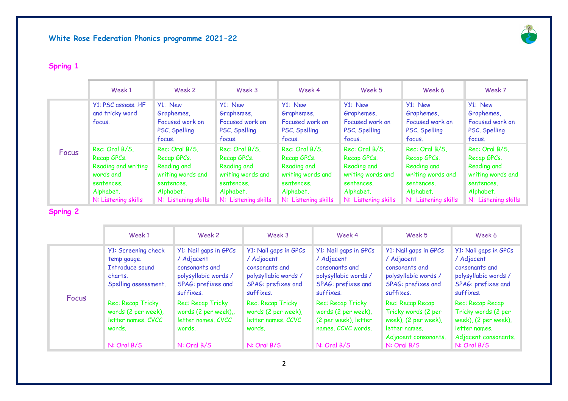

# **Spring 1**

|       | Week 1                                                                                                              | Week 2                                                                                                              | Week 3                                                                                                              | Week 4                                                                                                              | Week 5                                                                                                              | Week 6                                                                                                              | Week 7                                                                                                              |
|-------|---------------------------------------------------------------------------------------------------------------------|---------------------------------------------------------------------------------------------------------------------|---------------------------------------------------------------------------------------------------------------------|---------------------------------------------------------------------------------------------------------------------|---------------------------------------------------------------------------------------------------------------------|---------------------------------------------------------------------------------------------------------------------|---------------------------------------------------------------------------------------------------------------------|
| Focus | Y1: PSC assess. HF<br>and tricky word<br>focus.                                                                     | Y1: New<br>Graphemes,<br>Focused work on<br>PSC. Spelling<br>focus.                                                 | Y1: New<br>Graphemes,<br>Focused work on<br>PSC. Spelling<br>focus.                                                 | Y1: New<br>Graphemes,<br>Focused work on<br>PSC. Spelling<br>focus.                                                 | Y1: New<br>Graphemes,<br>Focused work on<br>PSC. Spelling<br>focus.                                                 | Y1: New<br>Graphemes,<br>Focused work on<br>PSC. Spelling<br>focus.                                                 | Y1: New<br>Graphemes,<br>Focused work on<br>PSC. Spelling<br>focus.                                                 |
|       | Rec: Oral B/S,<br>Recap GPCs.<br>Reading and writing<br>words and<br>sentences.<br>Alphabet.<br>N: Listening skills | Rec: Oral B/S,<br>Recap GPCs.<br>Reading and<br>writing words and<br>sentences.<br>Alphabet.<br>N: Listening skills | Rec: Oral B/S.<br>Recap GPCs.<br>Reading and<br>writing words and<br>sentences.<br>Alphabet.<br>N: Listening skills | Rec: Oral B/S.<br>Recap GPCs.<br>Reading and<br>writing words and<br>sentences.<br>Alphabet.<br>N: Listening skills | Rec: Oral B/S.<br>Recap GPCs.<br>Reading and<br>writing words and<br>sentences.<br>Alphabet.<br>N: Listening skills | Rec: Oral B/S,<br>Recap GPCs.<br>Reading and<br>writing words and<br>sentences.<br>Alphabet.<br>N: Listening skills | Rec: Oral B/S,<br>Recap GPCs.<br>Reading and<br>writing words and<br>sentences.<br>Alphabet.<br>N: Listening skills |

# **Spring 2**

|              | Week 1                                                                                   | Week 2                                                                                                           | Week 3                                                                                                           | Week 4                                                                                                           | Week 5                                                                                                                  | Week 6                                                                                                                  |
|--------------|------------------------------------------------------------------------------------------|------------------------------------------------------------------------------------------------------------------|------------------------------------------------------------------------------------------------------------------|------------------------------------------------------------------------------------------------------------------|-------------------------------------------------------------------------------------------------------------------------|-------------------------------------------------------------------------------------------------------------------------|
| <b>Focus</b> | Y1: Screening check<br>temp gauge.<br>Introduce sound<br>charts.<br>Spelling assessment. | Y1: Nail gaps in GPCs<br>/ Adjacent<br>consonants and<br>polysyllabic words /<br>SPAG: prefixes and<br>suffixes. | Y1: Nail gaps in GPCs<br>/ Adjacent<br>consonants and<br>polysyllabic words /<br>SPAG: prefixes and<br>suffixes. | Y1: Nail gaps in GPCs<br>/ Adjacent<br>consonants and<br>polysyllabic words /<br>SPAG: prefixes and<br>suffixes. | Y1: Nail gaps in GPCs<br>/ Adjacent<br>consonants and<br>polysyllabic words /<br>SPAG: prefixes and<br>suffixes.        | Y1: Nail gaps in GPCs<br>/ Adjacent<br>consonants and<br>polysyllabic words /<br>SPAG: prefixes and<br>suffixes.        |
|              | Rec: Recap Tricky<br>words (2 per week),<br>letter names, CVCC<br>words.<br>N: Oral B/S  | Rec: Recap Tricky<br>words (2 per week),<br>letter names, CVCC<br>words.<br>$N:$ Oral $B/S$                      | Rec: Recap Tricky<br>words (2 per week),<br>letter names, CCVC<br>words.<br>$N:$ Oral B/S                        | Rec: Recap Tricky<br>words (2 per week),<br>(2 per week), letter<br>names. CCVC words.<br>N: Oral B/S            | Rec: Recap Recap<br>Tricky words (2 per<br>week), (2 per week),<br>letter names.<br>Adjacent consonants.<br>N: Oral B/S | Rec: Recap Recap<br>Tricky words (2 per<br>week), (2 per week),<br>letter names.<br>Adjacent consonants.<br>N: Oral B/S |